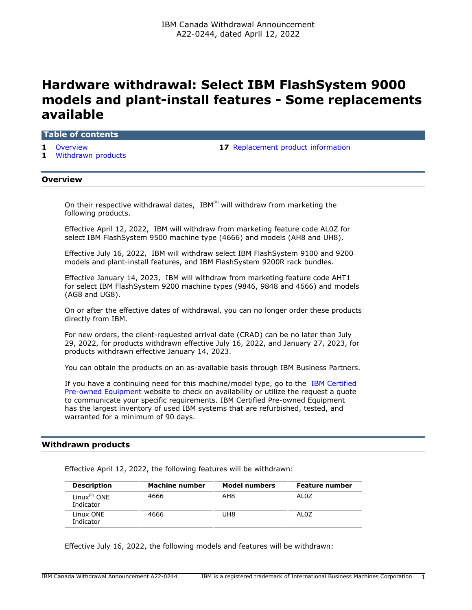# **Hardware withdrawal: Select IBM FlashSystem 9000 models and plant-install features - Some replacements available**

#### **Table of contents**

- 
- **1** [Withdrawn products](#page-0-1)

**1** [Overview](#page-0-0) **17** [Replacement product information](#page-16-0)

## <span id="page-0-0"></span>**Overview**

On their respective withdrawal dates,  $IBM^{(R)}$  will withdraw from marketing the following products.

Effective April 12, 2022, IBM will withdraw from marketing feature code AL0Z for select IBM FlashSystem 9500 machine type (4666) and models (AH8 and UH8).

Effective July 16, 2022, IBM will withdraw select IBM FlashSystem 9100 and 9200 models and plant-install features, and IBM FlashSystem 9200R rack bundles.

Effective January 14, 2023, IBM will withdraw from marketing feature code AHT1 for select IBM FlashSystem 9200 machine types (9846, 9848 and 4666) and models (AG8 and UG8).

On or after the effective dates of withdrawal, you can no longer order these products directly from IBM.

For new orders, the client-requested arrival date (CRAD) can be no later than July 29, 2022, for products withdrawn effective July 16, 2022, and January 27, 2023, for products withdrawn effective January 14, 2023.

You can obtain the products on an as-available basis through IBM Business Partners.

If you have a continuing need for this machine/model type, go to the [IBM Certified](https://www.ibm.com/financing/pre-owned/ibm-certified-used-equipment) [Pre-owned Equipment](https://www.ibm.com/financing/pre-owned/ibm-certified-used-equipment) website to check on availability or utilize the request a quote to communicate your specific requirements. IBM Certified Pre-owned Equipment has the largest inventory of used IBM systems that are refurbished, tested, and warranted for a minimum of 90 days.

# <span id="page-0-1"></span>**Withdrawn products**

Effective April 12, 2022, the following features will be withdrawn:

| <b>Description</b>                | Machine number | <b>Model numbers</b> | Feature number |
|-----------------------------------|----------------|----------------------|----------------|
| Linux ${}^{(R)}$ ONE<br>Indicator | 4666           | AH8                  | ALOZ           |
| Linux ONE<br>Indicator            | 4666           | UH8                  | AL0Z           |

Effective July 16, 2022, the following models and features will be withdrawn: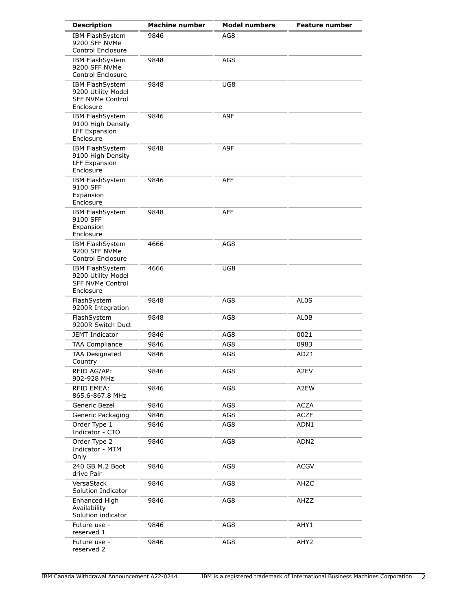| <b>Description</b>                                                            | <b>Machine number</b> | <b>Model numbers</b> | <b>Feature number</b> |
|-------------------------------------------------------------------------------|-----------------------|----------------------|-----------------------|
| IBM FlashSystem<br>9200 SFF NVMe<br>Control Enclosure                         | 9846                  | AG8                  |                       |
| IBM FlashSystem<br>9200 SFF NVMe<br>Control Enclosure                         | 9848                  | AG8                  |                       |
| IBM FlashSystem<br>9200 Utility Model<br><b>SFF NVMe Control</b><br>Enclosure | 9848                  | UG8                  |                       |
| IBM FlashSystem<br>9100 High Density<br>LFF Expansion<br>Enclosure            | 9846                  | A9F                  |                       |
| IBM FlashSystem<br>9100 High Density<br>LFF Expansion<br>Enclosure            | 9848                  | A9F                  |                       |
| IBM FlashSystem<br>9100 SFF<br>Expansion<br>Enclosure                         | 9846                  | <b>AFF</b>           |                       |
| IBM FlashSystem<br>9100 SFF<br>Expansion<br>Enclosure                         | 9848                  | AFF                  |                       |
| IBM FlashSystem<br>9200 SFF NVMe<br><b>Control Enclosure</b>                  | 4666                  | AG8                  |                       |
| IBM FlashSystem<br>9200 Utility Model<br><b>SFF NVMe Control</b><br>Enclosure | 4666                  | UG8                  |                       |
| FlashSystem<br>9200R Integration                                              | 9848                  | AG8                  | AL <sub>0</sub> S     |
| FlashSystem<br>9200R Switch Duct                                              | 9848                  | AG8                  | AL0B                  |
| <b>JEMT Indicator</b>                                                         | 9846                  | AG8                  | 0021                  |
| <b>TAA Compliance</b>                                                         | 9846                  | AG8                  | 0983                  |
| <b>TAA Designated</b><br>Country                                              | 9846                  | AG8                  | ADZ1                  |
| RFID AG/AP:<br>902-928 MHz                                                    | 9846                  | AG8                  | A2EV                  |
| RFID EMEA:<br>865.6-867.8 MHz                                                 | 9846                  | AG8                  | A2EW                  |
| Generic Bezel                                                                 | 9846                  | AG8                  | <b>ACZA</b>           |
| Generic Packaging                                                             | 9846                  | AG8                  | <b>ACZF</b>           |
| Order Type 1<br>Indicator - CTO                                               | 9846                  | AG8                  | ADN1                  |
| Order Type 2<br>Indicator - MTM<br>Only                                       | 9846                  | AG8                  | ADN <sub>2</sub>      |
| 240 GB M.2 Boot<br>drive Pair                                                 | 9846                  | AG8                  | <b>ACGV</b>           |
| VersaStack<br>Solution Indicator                                              | 9846                  | AG8                  | AHZC                  |
| Enhanced High<br>Availability<br>Solution indicator                           | 9846                  | AG8                  | AHZZ                  |
| Future use -<br>reserved 1                                                    | 9846                  | AG8                  | AHY1                  |
| Future use -<br>reserved 2                                                    | 9846                  | AG8                  | AHY <sub>2</sub>      |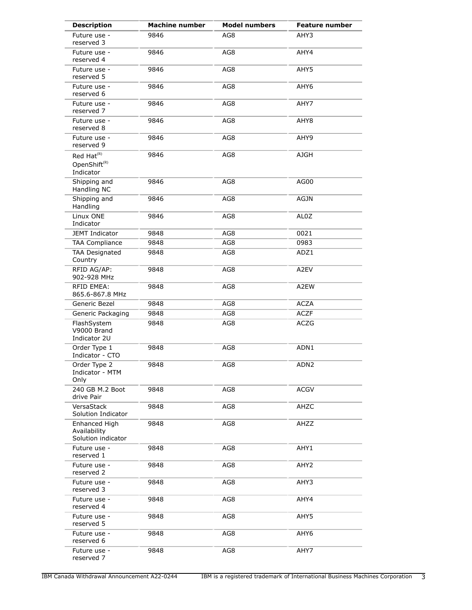| <b>Description</b>                                              | <b>Machine number</b> | <b>Model numbers</b> | <b>Feature number</b> |
|-----------------------------------------------------------------|-----------------------|----------------------|-----------------------|
| Future use -<br>reserved 3                                      | 9846                  | AG8                  | AHY3                  |
| Future use -<br>reserved 4                                      | 9846                  | AG8                  | AHY4                  |
| Future use -<br>reserved 5                                      | 9846                  | AG8                  | AHY5                  |
| Future use -<br>reserved 6                                      | 9846                  | AG8                  | AHY6                  |
| Future use -<br>reserved 7                                      | 9846                  | AG8                  | AHY7                  |
| Future use -<br>reserved 8                                      | 9846                  | AG8                  | AHY8                  |
| Future use -<br>reserved 9                                      | 9846                  | AG8                  | AHY9                  |
| Red Hat <sup>(R)</sup><br>OpenShift <sup>(R)</sup><br>Indicator | 9846                  | AG8                  | <b>AJGH</b>           |
| Shipping and<br>Handling NC                                     | 9846                  | AG8                  | AG00                  |
| Shipping and<br>Handling                                        | 9846                  | AG8                  | <b>AGJN</b>           |
| Linux ONE<br>Indicator                                          | 9846                  | AG8                  | AL0Z                  |
| JEMT Indicator                                                  | 9848                  | AG8                  | 0021                  |
| <b>TAA Compliance</b>                                           | 9848                  | AG8                  | 0983                  |
| <b>TAA Designated</b><br>Country                                | 9848                  | AG8                  | ADZ1                  |
| RFID AG/AP:<br>902-928 MHz                                      | 9848                  | AG8                  | A2EV                  |
| <b>RFID EMEA:</b><br>865.6-867.8 MHz                            | 9848                  | AG8                  | A2EW                  |
| Generic Bezel                                                   | 9848                  | AG8                  | <b>ACZA</b>           |
| Generic Packaging                                               | 9848                  | AG8                  | <b>ACZF</b>           |
| FlashSystem<br>V9000 Brand<br>Indicator 2U                      | 9848                  | AG8                  | <b>ACZG</b>           |
| Order Type 1<br>Indicator - CTO                                 | 9848                  | AG8                  | ADN1                  |
| Order Type 2<br>Indicator - MTM<br>Only                         | 9848                  | AG8                  | ADN <sub>2</sub>      |
| 240 GB M.2 Boot<br>drive Pair                                   | 9848                  | AG8                  | <b>ACGV</b>           |
| VersaStack<br>Solution Indicator                                | 9848                  | AG8                  | AHZC                  |
| Enhanced High<br>Availability<br>Solution indicator             | 9848                  | AG8                  | AHZZ                  |
| Future use -<br>reserved 1                                      | 9848                  | AG8                  | AHY1                  |
| Future use -<br>reserved 2                                      | 9848                  | AG8                  | AHY <sub>2</sub>      |
| Future use -<br>reserved 3                                      | 9848                  | AG8                  | AHY3                  |
| Future use -<br>reserved 4                                      | 9848                  | AG8                  | AHY4                  |
| Future use -<br>reserved 5                                      | 9848                  | AG8                  | AHY5                  |
| Future use -<br>reserved 6                                      | 9848                  | AG8                  | AHY6                  |
| Future use -<br>reserved 7                                      | 9848                  | AG8                  | AHY7                  |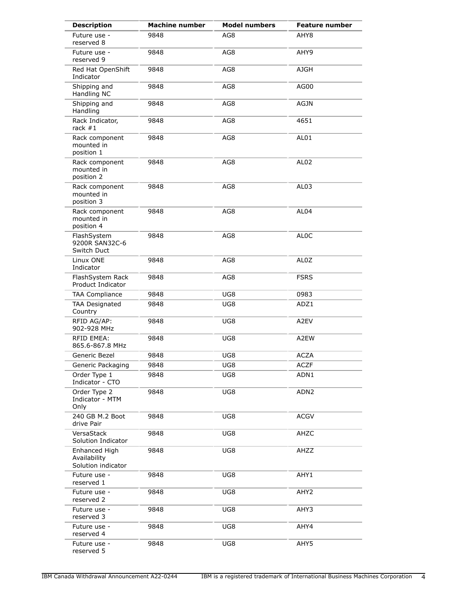| <b>Description</b>                                  | <b>Machine number</b> | <b>Model numbers</b> | <b>Feature number</b> |
|-----------------------------------------------------|-----------------------|----------------------|-----------------------|
| Future use -<br>reserved 8                          | 9848                  | AG8                  | AHY8                  |
| Future use -<br>reserved 9                          | 9848                  | AG8                  | AHY9                  |
| Red Hat OpenShift<br>Indicator                      | 9848                  | AG8                  | <b>AJGH</b>           |
| Shipping and<br>Handling NC                         | 9848                  | AG8                  | AG00                  |
| Shipping and<br>Handling                            | 9848                  | AG8                  | AGJN                  |
| Rack Indicator,<br>rack $#1$                        | 9848                  | AG8                  | 4651                  |
| Rack component<br>mounted in<br>position 1          | 9848                  | AG8                  | AL01                  |
| Rack component<br>mounted in<br>position 2          | 9848                  | AG8                  | AL <sub>02</sub>      |
| Rack component<br>mounted in<br>position 3          | 9848                  | AG8                  | AL03                  |
| Rack component<br>mounted in<br>position 4          | 9848                  | AG8                  | AL <sub>04</sub>      |
| FlashSystem<br>9200R SAN32C-6<br>Switch Duct        | 9848                  | AG8                  | <b>ALOC</b>           |
| Linux ONE<br>Indicator                              | 9848                  | AG8                  | AL <sub>0</sub> Z     |
| FlashSystem Rack<br><b>Product Indicator</b>        | 9848                  | AG8                  | <b>FSRS</b>           |
| <b>TAA Compliance</b>                               | 9848                  | UG8                  | 0983                  |
| <b>TAA Designated</b><br>Country                    | 9848                  | UG8                  | ADZ1                  |
| RFID AG/AP:<br>902-928 MHz                          | 9848                  | UG8                  | A2EV                  |
| <b>RFID EMEA:</b><br>865.6-867.8 MHz                | 9848                  | UG8                  | A2EW                  |
| Generic Bezel                                       | 9848                  | UG8                  | <b>ACZA</b>           |
| Generic Packaging                                   | 9848                  | UG8                  | <b>ACZF</b>           |
| Order Type 1<br>Indicator - CTO                     | 9848                  | UG8                  | ADN1                  |
| Order Type 2<br>Indicator - MTM<br>Only             | 9848                  | UG8                  | ADN <sub>2</sub>      |
| 240 GB M.2 Boot<br>drive Pair                       | 9848                  | UG8                  | <b>ACGV</b>           |
| VersaStack<br>Solution Indicator                    | 9848                  | UG8                  | AHZC                  |
| Enhanced High<br>Availability<br>Solution indicator | 9848                  | UG8                  | AHZZ                  |
| Future use -<br>reserved 1                          | 9848                  | UG8                  | AHY1                  |
| Future use -<br>reserved 2                          | 9848                  | UG8                  | AHY2                  |
| Future use -<br>reserved 3                          | 9848                  | UG8                  | AHY3                  |
| Future use -<br>reserved 4                          | 9848                  | UG8                  | AHY4                  |
| Future use -<br>reserved 5                          | 9848                  | UG8                  | AHY5                  |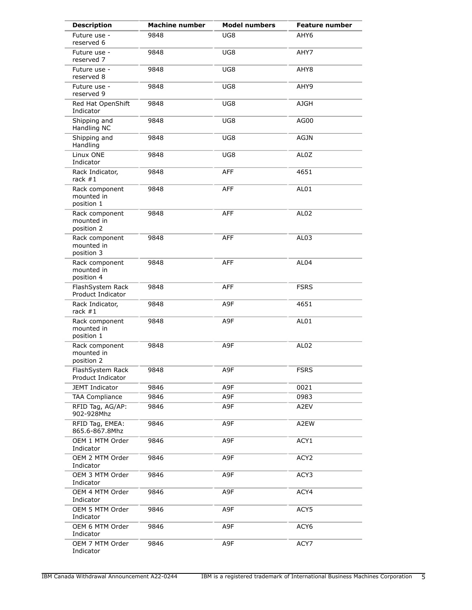| <b>Description</b>                           | <b>Machine number</b> | <b>Model numbers</b> | <b>Feature number</b> |
|----------------------------------------------|-----------------------|----------------------|-----------------------|
| Future use -<br>reserved 6                   | 9848                  | UG8                  | AHY6                  |
| Future use -<br>reserved 7                   | 9848                  | UG8                  | AHY7                  |
| Future use -<br>reserved 8                   | 9848                  | UG8                  | AHY8                  |
| Future use -<br>reserved 9                   | 9848                  | UG8                  | AHY9                  |
| Red Hat OpenShift<br>Indicator               | 9848                  | UG8                  | <b>AJGH</b>           |
| Shipping and<br>Handling NC                  | 9848                  | UG8                  | AG00                  |
| Shipping and<br>Handling                     | 9848                  | UG8                  | <b>AGJN</b>           |
| Linux ONE<br>Indicator                       | 9848                  | UG8                  | AL0Z                  |
| Rack Indicator,<br>rack $#1$                 | 9848                  | <b>AFF</b>           | 4651                  |
| Rack component<br>mounted in<br>position 1   | 9848                  | <b>AFF</b>           | AL01                  |
| Rack component<br>mounted in<br>position 2   | 9848                  | <b>AFF</b>           | AL <sub>02</sub>      |
| Rack component<br>mounted in<br>position 3   | 9848                  | <b>AFF</b>           | AL <sub>03</sub>      |
| Rack component<br>mounted in<br>position 4   | 9848                  | <b>AFF</b>           | AL <sub>04</sub>      |
| FlashSystem Rack<br><b>Product Indicator</b> | 9848                  | <b>AFF</b>           | <b>FSRS</b>           |
| Rack Indicator,<br>rack $#1$                 | 9848                  | A9F                  | 4651                  |
| Rack component<br>mounted in<br>position 1   | 9848                  | A9F                  | AL01                  |
| Rack component<br>mounted in<br>position 2   | 9848                  | A9F                  | AL <sub>02</sub>      |
| FlashSystem Rack<br>Product Indicator        | 9848                  | A9F                  | <b>FSRS</b>           |
| JEMT Indicator                               | 9846                  | A9F                  | 0021                  |
| <b>TAA Compliance</b>                        | 9846                  | A9F                  | 0983                  |
| RFID Tag, AG/AP:<br>902-928Mhz               | 9846                  | A9F                  | A2EV                  |
| RFID Tag, EMEA:<br>865.6-867.8Mhz            | 9846                  | A9F                  | A2EW                  |
| OEM 1 MTM Order<br>Indicator                 | 9846                  | A9F                  | ACY1                  |
| OEM 2 MTM Order<br>Indicator                 | 9846                  | A9F                  | ACY <sub>2</sub>      |
| OEM 3 MTM Order<br>Indicator                 | 9846                  | A9F                  | ACY3                  |
| OEM 4 MTM Order<br>Indicator                 | 9846                  | A9F                  | ACY4                  |
| OEM 5 MTM Order<br>Indicator                 | 9846                  | A9F                  | ACY5                  |
| OEM 6 MTM Order<br>Indicator                 | 9846                  | A9F                  | ACY6                  |
| OEM 7 MTM Order<br>Indicator                 | 9846                  | A9F                  | ACY7                  |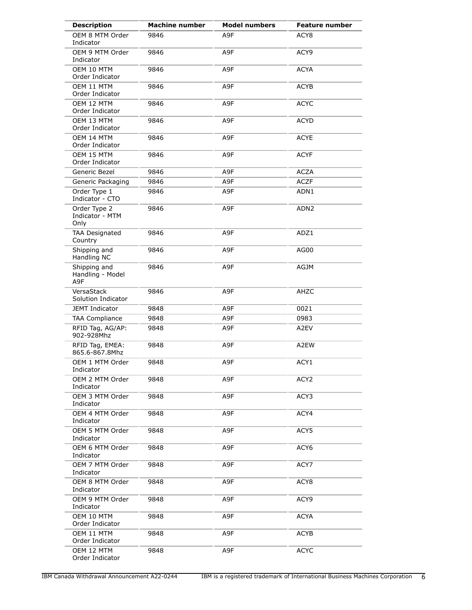| <b>Description</b>                      | <b>Machine number</b> | <b>Model numbers</b> | <b>Feature number</b> |
|-----------------------------------------|-----------------------|----------------------|-----------------------|
| OEM 8 MTM Order<br>Indicator            | 9846                  | A9F                  | ACY <sub>8</sub>      |
| OEM 9 MTM Order<br>Indicator            | 9846                  | A9F                  | ACY9                  |
| OEM 10 MTM<br>Order Indicator           | 9846                  | A9F                  | <b>ACYA</b>           |
| OEM 11 MTM<br>Order Indicator           | 9846                  | A9F                  | <b>ACYB</b>           |
| OEM 12 MTM<br>Order Indicator           | 9846                  | A9F                  | <b>ACYC</b>           |
| OEM 13 MTM<br>Order Indicator           | 9846                  | A9F                  | <b>ACYD</b>           |
| OEM 14 MTM<br>Order Indicator           | 9846                  | A9F                  | <b>ACYE</b>           |
| OEM 15 MTM<br>Order Indicator           | 9846                  | A9F                  | <b>ACYF</b>           |
| Generic Bezel                           | 9846                  | A9F                  | <b>ACZA</b>           |
| Generic Packaging                       | 9846                  | A9F                  | <b>ACZF</b>           |
| Order Type 1<br>Indicator - CTO         | 9846                  | A9F                  | ADN1                  |
| Order Type 2<br>Indicator - MTM<br>Only | 9846                  | A9F                  | ADN <sub>2</sub>      |
| <b>TAA Designated</b><br>Country        | 9846                  | A9F                  | ADZ1                  |
| Shipping and<br>Handling NC             | 9846                  | A9F                  | AG00                  |
| Shipping and<br>Handling - Model<br>A9F | 9846                  | A9F                  | AGJM                  |
| VersaStack<br>Solution Indicator        | 9846                  | A9F                  | AHZC                  |
| <b>JEMT Indicator</b>                   | 9848                  | A9F                  | 0021                  |
| <b>TAA Compliance</b>                   | 9848                  | A9F                  | 0983                  |
| RFID Tag, AG/AP:<br>902-928Mhz          | 9848                  | A9F                  | A2EV                  |
| RFID Tag, EMEA:<br>865.6-867.8Mhz       | 9848                  | A9F                  | A2EW                  |
| OEM 1 MTM Order<br>Indicator            | 9848                  | A9F                  | ACY1                  |
| OEM 2 MTM Order<br>Indicator            | 9848                  | A9F                  | ACY <sub>2</sub>      |
| OEM 3 MTM Order<br>Indicator            | 9848                  | A9F                  | ACY3                  |
| OEM 4 MTM Order<br>Indicator            | 9848                  | A9F                  | ACY4                  |
| OEM 5 MTM Order<br>Indicator            | 9848                  | A9F                  | ACY5                  |
| OEM 6 MTM Order<br>Indicator            | 9848                  | A9F                  | ACY6                  |
| OEM 7 MTM Order<br>Indicator            | 9848                  | A9F                  | ACY7                  |
| OEM 8 MTM Order<br>Indicator            | 9848                  | A9F                  | ACY <sub>8</sub>      |
| OEM 9 MTM Order<br>Indicator            | 9848                  | A9F                  | ACY9                  |
| OEM 10 MTM<br>Order Indicator           | 9848                  | A9F                  | ACYA                  |
| OEM 11 MTM<br>Order Indicator           | 9848                  | A9F                  | ACYB                  |
| OEM 12 MTM<br>Order Indicator           | 9848                  | A9F                  | <b>ACYC</b>           |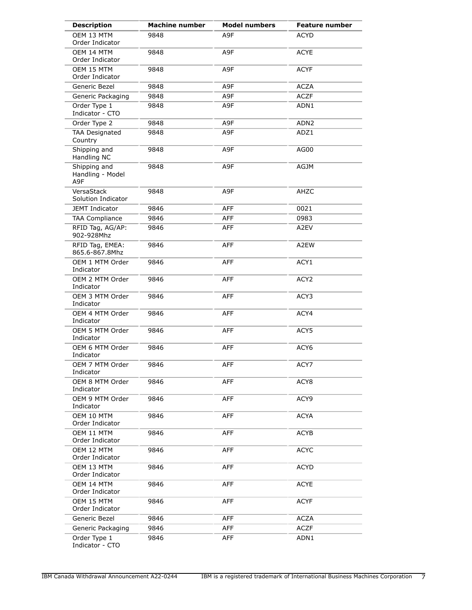| <b>Description</b>                      | <b>Machine number</b> | <b>Model numbers</b> | <b>Feature number</b> |
|-----------------------------------------|-----------------------|----------------------|-----------------------|
| OEM 13 MTM<br>Order Indicator           | 9848                  | A9F                  | <b>ACYD</b>           |
| OEM 14 MTM<br>Order Indicator           | 9848                  | A9F                  | <b>ACYE</b>           |
| OEM 15 MTM<br>Order Indicator           | 9848                  | A9F                  | <b>ACYF</b>           |
| Generic Bezel                           | 9848                  | A9F                  | <b>ACZA</b>           |
| Generic Packaging                       | 9848                  | A9F                  | <b>ACZF</b>           |
| Order Type 1<br>Indicator - CTO         | 9848                  | A9F                  | ADN1                  |
| Order Type 2                            | 9848                  | A9F                  | ADN <sub>2</sub>      |
| <b>TAA Designated</b><br>Country        | 9848                  | A9F                  | ADZ1                  |
| Shipping and<br>Handling NC             | 9848                  | A9F                  | AG00                  |
| Shipping and<br>Handling - Model<br>A9F | 9848                  | A9F                  | AGJM                  |
| VersaStack<br>Solution Indicator        | 9848                  | A9F                  | AHZC                  |
| JEMT Indicator                          | 9846                  | <b>AFF</b>           | 0021                  |
| <b>TAA Compliance</b>                   | 9846                  | AFF                  | 0983                  |
| RFID Tag, AG/AP:<br>902-928Mhz          | 9846                  | AFF                  | A2EV                  |
| RFID Tag, EMEA:<br>865.6-867.8Mhz       | 9846                  | <b>AFF</b>           | A2EW                  |
| OEM 1 MTM Order<br>Indicator            | 9846                  | <b>AFF</b>           | ACY1                  |
| OEM 2 MTM Order<br>Indicator            | 9846                  | <b>AFF</b>           | ACY <sub>2</sub>      |
| OEM 3 MTM Order<br>Indicator            | 9846                  | <b>AFF</b>           | ACY3                  |
| OEM 4 MTM Order<br>Indicator            | 9846                  | <b>AFF</b>           | ACY4                  |
| OEM 5 MTM Order<br>Indicator            | 9846                  | <b>AFF</b>           | ACY5                  |
| OEM 6 MTM Order<br>Indicator            | 9846                  | AFF                  | ACY <sub>6</sub>      |
| OEM 7 MTM Order<br>Indicator            | 9846                  | AFF                  | ACY7                  |
| OEM 8 MTM Order<br>Indicator            | 9846                  | <b>AFF</b>           | ACY8                  |
| OEM 9 MTM Order<br>Indicator            | 9846                  | AFF                  | ACY9                  |
| OEM 10 MTM<br>Order Indicator           | 9846                  | <b>AFF</b>           | <b>ACYA</b>           |
| OEM 11 MTM<br>Order Indicator           | 9846                  | AFF                  | <b>ACYB</b>           |
| OEM 12 MTM<br>Order Indicator           | 9846                  | AFF                  | <b>ACYC</b>           |
| OEM 13 MTM<br>Order Indicator           | 9846                  | <b>AFF</b>           | <b>ACYD</b>           |
| OEM 14 MTM<br>Order Indicator           | 9846                  | AFF                  | <b>ACYE</b>           |
| OEM 15 MTM<br>Order Indicator           | 9846                  | AFF                  | <b>ACYF</b>           |
| Generic Bezel                           | 9846                  | AFF                  | <b>ACZA</b>           |
| Generic Packaging                       | 9846                  | AFF                  | <b>ACZF</b>           |
| Order Type 1<br>Indicator - CTO         | 9846                  | <b>AFF</b>           | ADN1                  |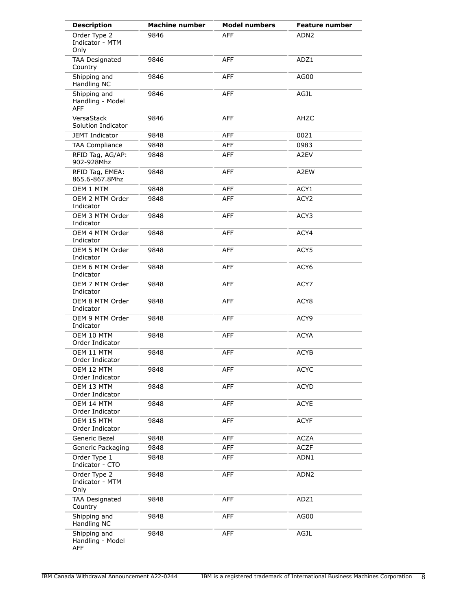| <b>Description</b>                             | <b>Machine number</b> | <b>Model numbers</b> | <b>Feature number</b> |
|------------------------------------------------|-----------------------|----------------------|-----------------------|
| Order Type 2<br>Indicator - MTM<br>Only        | 9846                  | <b>AFF</b>           | ADN <sub>2</sub>      |
| <b>TAA Designated</b><br>Country               | 9846                  | <b>AFF</b>           | ADZ1                  |
| Shipping and<br>Handling NC                    | 9846                  | <b>AFF</b>           | AG00                  |
| Shipping and<br>Handling - Model<br><b>AFF</b> | 9846                  | <b>AFF</b>           | <b>AGJL</b>           |
| VersaStack<br>Solution Indicator               | 9846                  | <b>AFF</b>           | AHZC                  |
| <b>JEMT Indicator</b>                          | 9848                  | <b>AFF</b>           | 0021                  |
| <b>TAA Compliance</b>                          | 9848                  | AFF                  | 0983                  |
| RFID Tag, AG/AP:<br>902-928Mhz                 | 9848                  | <b>AFF</b>           | A <sub>2</sub> EV     |
| RFID Tag, EMEA:<br>865.6-867.8Mhz              | 9848                  | <b>AFF</b>           | A2EW                  |
| OEM 1 MTM                                      | 9848                  | <b>AFF</b>           | ACY1                  |
| OEM 2 MTM Order<br>Indicator                   | 9848                  | <b>AFF</b>           | ACY <sub>2</sub>      |
| OEM 3 MTM Order<br>Indicator                   | 9848                  | <b>AFF</b>           | ACY3                  |
| OEM 4 MTM Order<br>Indicator                   | 9848                  | <b>AFF</b>           | ACY4                  |
| OEM 5 MTM Order<br>Indicator                   | 9848                  | <b>AFF</b>           | ACY5                  |
| OEM 6 MTM Order<br>Indicator                   | 9848                  | <b>AFF</b>           | ACY <sub>6</sub>      |
| OEM 7 MTM Order<br>Indicator                   | 9848                  | <b>AFF</b>           | ACY7                  |
| OEM 8 MTM Order<br>Indicator                   | 9848                  | <b>AFF</b>           | ACY8                  |
| OEM 9 MTM Order<br>Indicator                   | 9848                  | <b>AFF</b>           | ACY9                  |
| OEM 10 MTM<br>Order Indicator                  | 9848                  | <b>AFF</b>           | <b>ACYA</b>           |
| OEM 11 MTM<br>Order Indicator                  | 9848                  | <b>AFF</b>           | <b>ACYB</b>           |
| OEM 12 MTM<br>Order Indicator                  | 9848                  | AFF                  | <b>ACYC</b>           |
| OEM 13 MTM<br>Order Indicator                  | 9848                  | <b>AFF</b>           | <b>ACYD</b>           |
| OEM 14 MTM<br>Order Indicator                  | 9848                  | <b>AFF</b>           | <b>ACYE</b>           |
| OEM 15 MTM<br>Order Indicator                  | 9848                  | <b>AFF</b>           | <b>ACYF</b>           |
| Generic Bezel                                  | 9848                  | AFF                  | <b>ACZA</b>           |
| Generic Packaging                              | 9848                  | <b>AFF</b>           | <b>ACZF</b>           |
| Order Type 1<br>Indicator - CTO                | 9848                  | <b>AFF</b>           | ADN1                  |
| Order Type 2<br>Indicator - MTM<br>Only        | 9848                  | <b>AFF</b>           | ADN <sub>2</sub>      |
| <b>TAA Designated</b><br>Country               | 9848                  | <b>AFF</b>           | ADZ1                  |
| Shipping and<br>Handling NC                    | 9848                  | AFF                  | AG00                  |
| Shipping and<br>Handling - Model<br>AFF        | 9848                  | AFF                  | AGJL                  |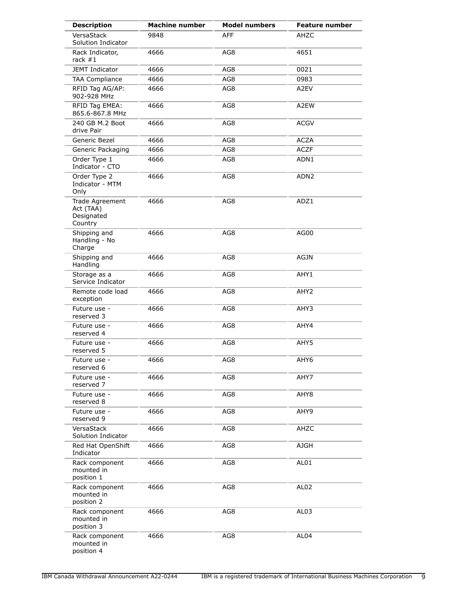| <b>Description</b>                                    | <b>Machine number</b> | <b>Model numbers</b> | <b>Feature number</b> |
|-------------------------------------------------------|-----------------------|----------------------|-----------------------|
| VersaStack<br>Solution Indicator                      | 9848                  | <b>AFF</b>           | AHZC                  |
| Rack Indicator,<br>rack $#1$                          | 4666                  | AG8                  | 4651                  |
| <b>JEMT Indicator</b>                                 | 4666                  | AG8                  | 0021                  |
| <b>TAA Compliance</b>                                 | 4666                  | AG8                  | 0983                  |
| RFID Tag AG/AP:<br>902-928 MHz                        | 4666                  | AG8                  | A2EV                  |
| RFID Tag EMEA:<br>865.6-867.8 MHz                     | 4666                  | AG8                  | A2EW                  |
| 240 GB M.2 Boot<br>drive Pair                         | 4666                  | AG8                  | <b>ACGV</b>           |
| Generic Bezel                                         | 4666                  | AG8                  | <b>ACZA</b>           |
| Generic Packaging                                     | 4666                  | AG8                  | <b>ACZF</b>           |
| Order Type 1<br>Indicator - CTO                       | 4666                  | AG8                  | ADN1                  |
| Order Type 2<br>Indicator - MTM<br>Only               | 4666                  | AG8                  | ADN2                  |
| Trade Agreement<br>Act (TAA)<br>Designated<br>Country | 4666                  | AG8                  | ADZ1                  |
| Shipping and<br>Handling - No<br>Charge               | 4666                  | AG8                  | AG00                  |
| Shipping and<br>Handling                              | 4666                  | AG8                  | <b>AGJN</b>           |
| Storage as a<br>Service Indicator                     | 4666                  | AG8                  | AHY1                  |
| Remote code load<br>exception                         | 4666                  | AG8                  | AHY <sub>2</sub>      |
| Future use -<br>reserved 3                            | 4666                  | AG8                  | AHY3                  |
| Future use -<br>reserved 4                            | 4666                  | AG8                  | AHY4                  |
| Future use -<br>reserved 5                            | 4666                  | AG8                  | AHY5                  |
| Future use -<br>reserved 6                            | 4666                  | AG8                  | AHY6                  |
| Future use -<br>reserved 7                            | 4666                  | AG8                  | AHY7                  |
| Future use -<br>reserved 8                            | 4666                  | AG8                  | AHY8                  |
| Future use -<br>reserved 9                            | 4666                  | AG8                  | AHY9                  |
| VersaStack<br>Solution Indicator                      | 4666                  | AG8                  | AHZC                  |
| Red Hat OpenShift<br>Indicator                        | 4666                  | AG8                  | <b>AJGH</b>           |
| Rack component<br>mounted in<br>position 1            | 4666                  | AG8                  | AL01                  |
| Rack component<br>mounted in<br>position 2            | 4666                  | AG8                  | AL <sub>02</sub>      |
| Rack component<br>mounted in<br>position 3            | 4666                  | AG8                  | AL <sub>03</sub>      |
| Rack component<br>mounted in<br>position 4            | 4666                  | AG8                  | AL <sub>04</sub>      |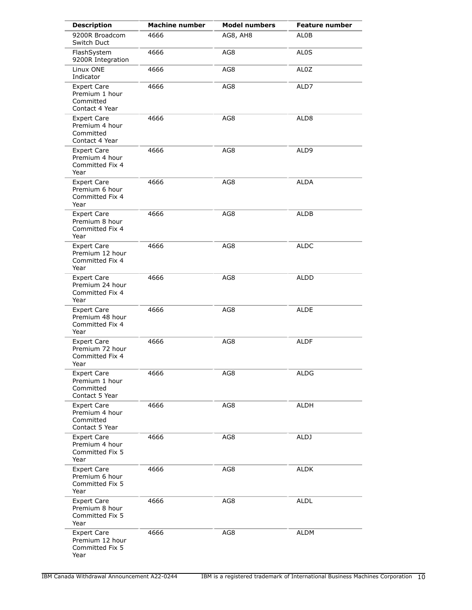| <b>Description</b>                                                  | <b>Machine number</b> | <b>Model numbers</b> | <b>Feature number</b> |
|---------------------------------------------------------------------|-----------------------|----------------------|-----------------------|
| 9200R Broadcom<br>Switch Duct                                       | 4666                  | AG8, AH8             | ALOB                  |
| FlashSystem<br>9200R Integration                                    | 4666                  | AG8                  | AL <sub>0</sub> S     |
| Linux ONE<br>Indicator                                              | 4666                  | AG8                  | AL0Z                  |
| <b>Expert Care</b><br>Premium 1 hour<br>Committed<br>Contact 4 Year | 4666                  | AG8                  | ALD7                  |
| <b>Expert Care</b><br>Premium 4 hour<br>Committed<br>Contact 4 Year | 4666                  | AG8                  | ALD <sub>8</sub>      |
| <b>Expert Care</b><br>Premium 4 hour<br>Committed Fix 4<br>Year     | 4666                  | AG8                  | ALD9                  |
| <b>Expert Care</b><br>Premium 6 hour<br>Committed Fix 4<br>Year     | 4666                  | AG8                  | <b>ALDA</b>           |
| <b>Expert Care</b><br>Premium 8 hour<br>Committed Fix 4<br>Year     | 4666                  | AG8                  | <b>ALDB</b>           |
| <b>Expert Care</b><br>Premium 12 hour<br>Committed Fix 4<br>Year    | 4666                  | AG8                  | ALDC                  |
| <b>Expert Care</b><br>Premium 24 hour<br>Committed Fix 4<br>Year    | 4666                  | AG8                  | ALDD                  |
| <b>Expert Care</b><br>Premium 48 hour<br>Committed Fix 4<br>Year    | 4666                  | AG8                  | <b>ALDE</b>           |
| <b>Expert Care</b><br>Premium 72 hour<br>Committed Fix 4<br>Year    | 4666                  | AG8                  | <b>ALDF</b>           |
| <b>Expert Care</b><br>Premium 1 hour<br>Committed<br>Contact 5 Year | 4666                  | AG8                  | ALDG                  |
| <b>Expert Care</b><br>Premium 4 hour<br>Committed<br>Contact 5 Year | 4666                  | AG8                  | ALDH                  |
| <b>Expert Care</b><br>Premium 4 hour<br>Committed Fix 5<br>Year     | 4666                  | AG8                  | ALDJ                  |
| Expert Care<br>Premium 6 hour<br>Committed Fix 5<br>Year            | 4666                  | AG8                  | <b>ALDK</b>           |
| <b>Expert Care</b><br>Premium 8 hour<br>Committed Fix 5<br>Year     | 4666                  | AG8                  | <b>ALDL</b>           |
| <b>Expert Care</b><br>Premium 12 hour<br>Committed Fix 5<br>Year    | 4666                  | AG8                  | ALDM                  |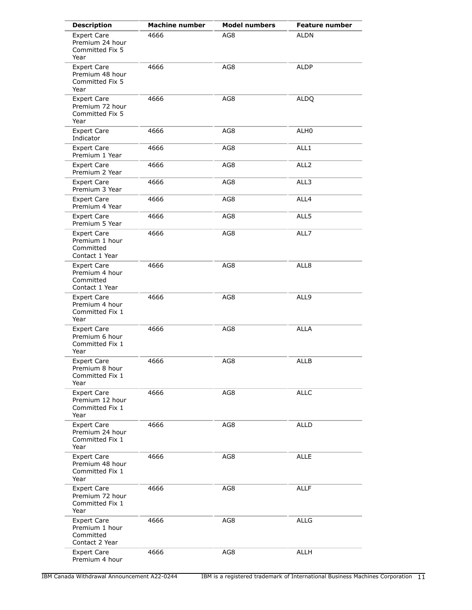| <b>Description</b>                                                  | <b>Machine number</b> | <b>Model numbers</b> | <b>Feature number</b> |
|---------------------------------------------------------------------|-----------------------|----------------------|-----------------------|
| <b>Expert Care</b><br>Premium 24 hour<br>Committed Fix 5<br>Year    | 4666                  | AG8                  | <b>ALDN</b>           |
| <b>Expert Care</b><br>Premium 48 hour<br>Committed Fix 5<br>Year    | 4666                  | AG8                  | <b>ALDP</b>           |
| <b>Expert Care</b><br>Premium 72 hour<br>Committed Fix 5<br>Year    | 4666                  | AG8                  | <b>ALDQ</b>           |
| <b>Expert Care</b><br>Indicator                                     | 4666                  | AG8                  | ALH <sub>0</sub>      |
| <b>Expert Care</b><br>Premium 1 Year                                | 4666                  | AG8                  | ALL1                  |
| <b>Expert Care</b><br>Premium 2 Year                                | 4666                  | AG8                  | ALL <sub>2</sub>      |
| <b>Expert Care</b><br>Premium 3 Year                                | 4666                  | AG8                  | ALL3                  |
| <b>Expert Care</b><br>Premium 4 Year                                | 4666                  | AG8                  | ALL4                  |
| <b>Expert Care</b><br>Premium 5 Year                                | 4666                  | AG8                  | ALL5                  |
| <b>Expert Care</b><br>Premium 1 hour<br>Committed<br>Contact 1 Year | 4666                  | AG8                  | ALL7                  |
| <b>Expert Care</b><br>Premium 4 hour<br>Committed<br>Contact 1 Year | 4666                  | AG8                  | ALL8                  |
| <b>Expert Care</b><br>Premium 4 hour<br>Committed Fix 1<br>Year     | 4666                  | AG8                  | ALL9                  |
| <b>Expert Care</b><br>Premium 6 hour<br>Committed Fix 1<br>Year     | 4666                  | AG8                  | <b>ALLA</b>           |
| <b>Expert Care</b><br>Premium 8 hour<br>Committed Fix 1<br>Year     | 4666                  | AG8                  | <b>ALLB</b>           |
| <b>Expert Care</b><br>Premium 12 hour<br>Committed Fix 1<br>Year    | 4666                  | AG8                  | <b>ALLC</b>           |
| <b>Expert Care</b><br>Premium 24 hour<br>Committed Fix 1<br>Year    | 4666                  | AG8                  | <b>ALLD</b>           |
| <b>Expert Care</b><br>Premium 48 hour<br>Committed Fix 1<br>Year    | 4666                  | AG8                  | <b>ALLE</b>           |
| <b>Expert Care</b><br>Premium 72 hour<br>Committed Fix 1<br>Year    | 4666                  | AG8                  | <b>ALLF</b>           |
| <b>Expert Care</b><br>Premium 1 hour<br>Committed<br>Contact 2 Year | 4666                  | AG8                  | <b>ALLG</b>           |
| <b>Expert Care</b><br>Premium 4 hour                                | 4666                  | AG8                  | ALLH                  |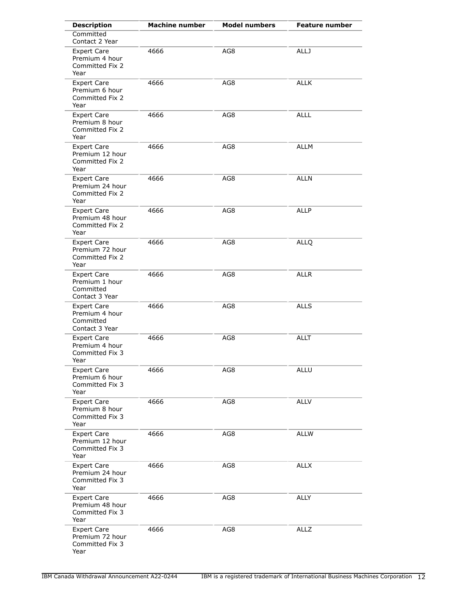| <b>Description</b>                                                  | <b>Machine number</b> | <b>Model numbers</b> | <b>Feature number</b> |
|---------------------------------------------------------------------|-----------------------|----------------------|-----------------------|
| Committed<br>Contact 2 Year                                         |                       |                      |                       |
| <b>Expert Care</b><br>Premium 4 hour<br>Committed Fix 2<br>Year     | 4666                  | AG8                  | <b>ALLJ</b>           |
| <b>Expert Care</b><br>Premium 6 hour<br>Committed Fix 2<br>Year     | 4666                  | AG8                  | <b>ALLK</b>           |
| Expert Care<br>Premium 8 hour<br>Committed Fix 2<br>Year            | 4666                  | AG8                  | <b>ALLL</b>           |
| <b>Expert Care</b><br>Premium 12 hour<br>Committed Fix 2<br>Year    | 4666                  | AG8                  | <b>ALLM</b>           |
| <b>Expert Care</b><br>Premium 24 hour<br>Committed Fix 2<br>Year    | 4666                  | AG8                  | <b>ALLN</b>           |
| <b>Expert Care</b><br>Premium 48 hour<br>Committed Fix 2<br>Year    | 4666                  | AG8                  | <b>ALLP</b>           |
| <b>Expert Care</b><br>Premium 72 hour<br>Committed Fix 2<br>Year    | 4666                  | AG8                  | <b>ALLQ</b>           |
| <b>Expert Care</b><br>Premium 1 hour<br>Committed<br>Contact 3 Year | 4666                  | AG8                  | <b>ALLR</b>           |
| <b>Expert Care</b><br>Premium 4 hour<br>Committed<br>Contact 3 Year | 4666                  | AG8                  | <b>ALLS</b>           |
| <b>Expert Care</b><br>Premium 4 hour<br>Committed Fix 3<br>Year     | 4666                  | AG8                  | <b>ALLT</b>           |
| <b>Expert Care</b><br>Premium 6 hour<br>Committed Fix 3<br>Year     | 4666                  | AG8                  | <b>ALLU</b>           |
| <b>Expert Care</b><br>Premium 8 hour<br>Committed Fix 3<br>Year     | 4666                  | AG8                  | <b>ALLV</b>           |
| <b>Expert Care</b><br>Premium 12 hour<br>Committed Fix 3<br>Year    | 4666                  | AG8                  | <b>ALLW</b>           |
| <b>Expert Care</b><br>Premium 24 hour<br>Committed Fix 3<br>Year    | 4666                  | AG8                  | <b>ALLX</b>           |
| <b>Expert Care</b><br>Premium 48 hour<br>Committed Fix 3<br>Year    | 4666                  | AG8                  | ALLY                  |
| <b>Expert Care</b><br>Premium 72 hour<br>Committed Fix 3<br>Year    | 4666                  | AG8                  | <b>ALLZ</b>           |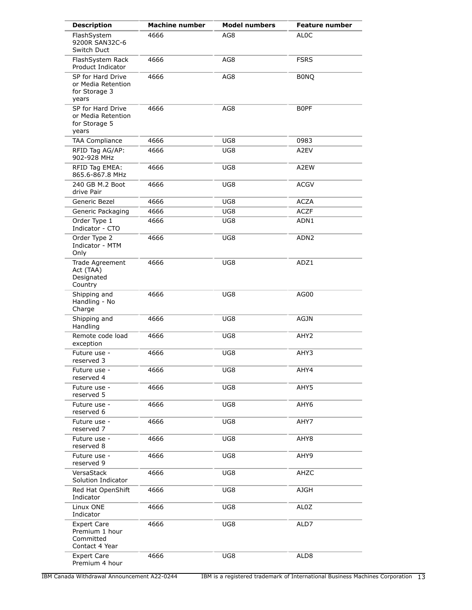| <b>Description</b>                                                  | <b>Machine number</b> | <b>Model numbers</b> | <b>Feature number</b> |
|---------------------------------------------------------------------|-----------------------|----------------------|-----------------------|
| FlashSystem<br>9200R SAN32C-6<br>Switch Duct                        | 4666                  | AG8                  | AL <sub>0</sub> C     |
| FlashSystem Rack<br>Product Indicator                               | 4666                  | AG8                  | <b>FSRS</b>           |
| SP for Hard Drive<br>or Media Retention<br>for Storage 3<br>years   | 4666                  | AG8                  | <b>BONQ</b>           |
| SP for Hard Drive<br>or Media Retention<br>for Storage 5<br>years   | 4666                  | AG8                  | B0PF                  |
| <b>TAA Compliance</b>                                               | 4666                  | UG8                  | 0983                  |
| RFID Tag AG/AP:<br>902-928 MHz                                      | 4666                  | UG8                  | A2EV                  |
| RFID Tag EMEA:<br>865.6-867.8 MHz                                   | 4666                  | UG8                  | A2EW                  |
| 240 GB M.2 Boot<br>drive Pair                                       | 4666                  | UG8                  | ACGV                  |
| Generic Bezel                                                       | 4666                  | UG8                  | <b>ACZA</b>           |
| Generic Packaging                                                   | 4666                  | UG8                  | <b>ACZF</b>           |
| Order Type 1<br>Indicator - CTO                                     | 4666                  | UG8                  | ADN1                  |
| Order Type 2<br>Indicator - MTM<br>Only                             | 4666                  | UG8                  | ADN <sub>2</sub>      |
| Trade Agreement<br>Act (TAA)<br>Designated<br>Country               | 4666                  | UG8                  | ADZ1                  |
| Shipping and<br>Handling - No<br>Charge                             | 4666                  | UG8                  | AG00                  |
| Shipping and<br>Handling                                            | 4666                  | UG8                  | <b>AGJN</b>           |
| Remote code load<br>exception                                       | 4666                  | UG8                  | AHY <sub>2</sub>      |
| Future use -<br>reserved 3                                          | 4666                  | UG8                  | AHY3                  |
| Future use -<br>reserved 4                                          | 4666                  | UG8                  | AHY4                  |
| Future use -<br>reserved 5                                          | 4666                  | UG8                  | AHY5                  |
| Future use -<br>reserved 6                                          | 4666                  | UG8                  | AHY6                  |
| Future use -<br>reserved 7                                          | 4666                  | UG8                  | AHY7                  |
| Future use -<br>reserved 8                                          | 4666                  | UG8                  | AHY8                  |
| Future use -<br>reserved 9                                          | 4666                  | UG8                  | AHY9                  |
| VersaStack<br>Solution Indicator                                    | 4666                  | UG8                  | AHZC                  |
| Red Hat OpenShift<br>Indicator                                      | 4666                  | UG8                  | <b>AJGH</b>           |
| Linux ONE<br>Indicator                                              | 4666                  | UG8                  | AL0Z                  |
| <b>Expert Care</b><br>Premium 1 hour<br>Committed<br>Contact 4 Year | 4666                  | UG8                  | ALD7                  |
| <b>Expert Care</b><br>Premium 4 hour                                | 4666                  | UG8                  | ALD <sub>8</sub>      |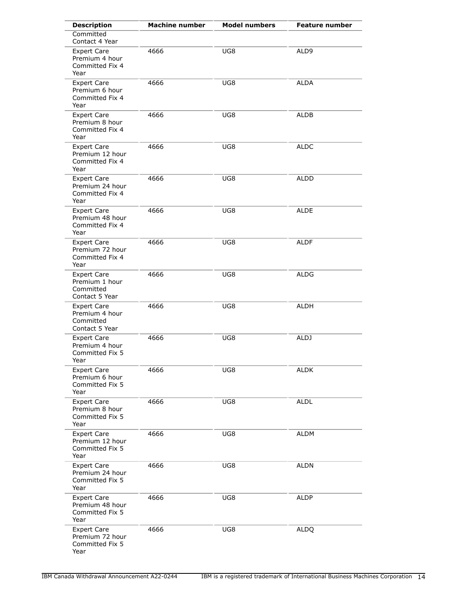| <b>Description</b>                                                  | <b>Machine number</b> | <b>Model numbers</b> | <b>Feature number</b> |
|---------------------------------------------------------------------|-----------------------|----------------------|-----------------------|
| Committed<br>Contact 4 Year                                         |                       |                      |                       |
| <b>Expert Care</b><br>Premium 4 hour<br>Committed Fix 4<br>Year     | 4666                  | UG8                  | ALD9                  |
| <b>Expert Care</b><br>Premium 6 hour<br>Committed Fix 4<br>Year     | 4666                  | UG8                  | <b>ALDA</b>           |
| <b>Expert Care</b><br>Premium 8 hour<br>Committed Fix 4<br>Year     | 4666                  | UG8                  | <b>ALDB</b>           |
| <b>Expert Care</b><br>Premium 12 hour<br>Committed Fix 4<br>Year    | 4666                  | UG8                  | ALDC                  |
| <b>Expert Care</b><br>Premium 24 hour<br>Committed Fix 4<br>Year    | 4666                  | UG8                  | ALDD                  |
| <b>Expert Care</b><br>Premium 48 hour<br>Committed Fix 4<br>Year    | 4666                  | UG8                  | ALDE                  |
| <b>Expert Care</b><br>Premium 72 hour<br>Committed Fix 4<br>Year    | 4666                  | UG8                  | ALDF                  |
| <b>Expert Care</b><br>Premium 1 hour<br>Committed<br>Contact 5 Year | 4666                  | UG8                  | ALDG                  |
| <b>Expert Care</b><br>Premium 4 hour<br>Committed<br>Contact 5 Year | 4666                  | UG8                  | ALDH                  |
| <b>Expert Care</b><br>Premium 4 hour<br>Committed Fix 5<br>Year     | 4666                  | UG8                  | ALDJ                  |
| <b>Expert Care</b><br>Premium 6 hour<br>Committed Fix 5<br>Year     | 4666                  | UG8                  | <b>ALDK</b>           |
| <b>Expert Care</b><br>Premium 8 hour<br>Committed Fix 5<br>Year     | 4666                  | UG8                  | <b>ALDL</b>           |
| <b>Expert Care</b><br>Premium 12 hour<br>Committed Fix 5<br>Year    | 4666                  | UG8                  | <b>ALDM</b>           |
| <b>Expert Care</b><br>Premium 24 hour<br>Committed Fix 5<br>Year    | 4666                  | UG8                  | <b>ALDN</b>           |
| <b>Expert Care</b><br>Premium 48 hour<br>Committed Fix 5<br>Year    | 4666                  | UG8                  | ALDP                  |
| <b>Expert Care</b><br>Premium 72 hour<br>Committed Fix 5<br>Year    | 4666                  | UG8                  | <b>ALDQ</b>           |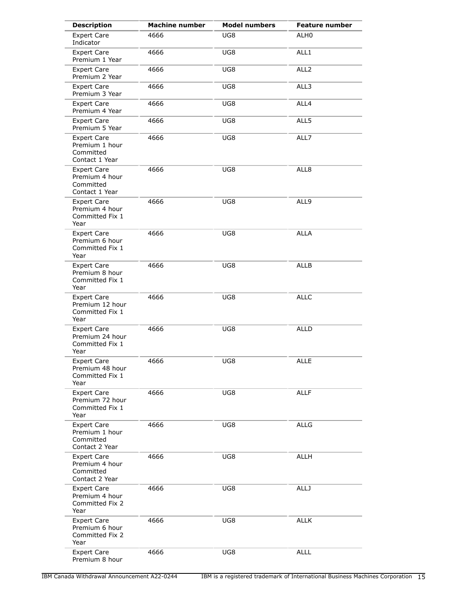| <b>Description</b>                                                  | <b>Machine number</b> | <b>Model numbers</b> | <b>Feature number</b> |
|---------------------------------------------------------------------|-----------------------|----------------------|-----------------------|
| <b>Expert Care</b><br>Indicator                                     | 4666                  | UG8                  | ALH0                  |
| <b>Expert Care</b><br>Premium 1 Year                                | 4666                  | UG8                  | ALL1                  |
| <b>Expert Care</b><br>Premium 2 Year                                | 4666                  | UG8                  | ALL <sub>2</sub>      |
| <b>Expert Care</b><br>Premium 3 Year                                | 4666                  | UG8                  | ALL3                  |
| <b>Expert Care</b><br>Premium 4 Year                                | 4666                  | UG8                  | ALL4                  |
| <b>Expert Care</b><br>Premium 5 Year                                | 4666                  | UG8                  | ALL5                  |
| <b>Expert Care</b><br>Premium 1 hour<br>Committed<br>Contact 1 Year | 4666                  | UG8                  | ALL7                  |
| <b>Expert Care</b><br>Premium 4 hour<br>Committed<br>Contact 1 Year | 4666                  | UG8                  | ALL8                  |
| <b>Expert Care</b><br>Premium 4 hour<br>Committed Fix 1<br>Year     | 4666                  | UG8                  | ALL9                  |
| <b>Expert Care</b><br>Premium 6 hour<br>Committed Fix 1<br>Year     | 4666                  | UG8                  | <b>ALLA</b>           |
| <b>Expert Care</b><br>Premium 8 hour<br>Committed Fix 1<br>Year     | 4666                  | UG8                  | <b>ALLB</b>           |
| <b>Expert Care</b><br>Premium 12 hour<br>Committed Fix 1<br>Year    | 4666                  | UG8                  | <b>ALLC</b>           |
| <b>Expert Care</b><br>Premium 24 hour<br>Committed Fix 1<br>Year    | 4666                  | UG8                  | <b>ALLD</b>           |
| <b>Expert Care</b><br>Premium 48 hour<br>Committed Fix 1<br>Year    | 4666                  | UG8                  | <b>ALLE</b>           |
| <b>Expert Care</b><br>Premium 72 hour<br>Committed Fix 1<br>Year    | 4666                  | UG8                  | <b>ALLF</b>           |
| <b>Expert Care</b><br>Premium 1 hour<br>Committed<br>Contact 2 Year | 4666                  | UG8                  | <b>ALLG</b>           |
| <b>Expert Care</b><br>Premium 4 hour<br>Committed<br>Contact 2 Year | 4666                  | UG8                  | ALLH                  |
| <b>Expert Care</b><br>Premium 4 hour<br>Committed Fix 2<br>Year     | 4666                  | UG8                  | <b>ALLJ</b>           |
| <b>Expert Care</b><br>Premium 6 hour<br>Committed Fix 2<br>Year     | 4666                  | UG8                  | <b>ALLK</b>           |
| <b>Expert Care</b><br>Premium 8 hour                                | 4666                  | UG8                  | <b>ALLL</b>           |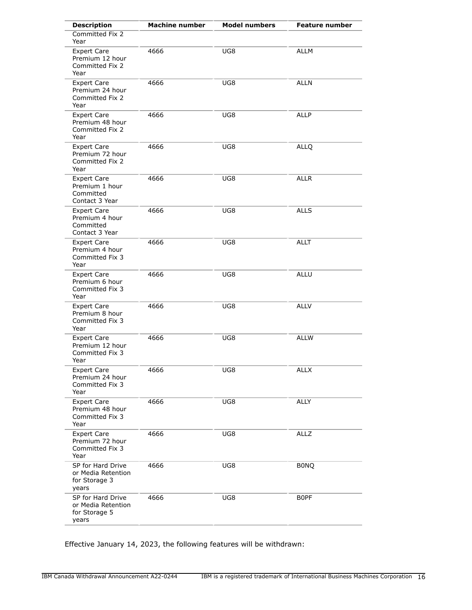| <b>Description</b>                                                  | <b>Machine number</b> | <b>Model numbers</b> | <b>Feature number</b> |
|---------------------------------------------------------------------|-----------------------|----------------------|-----------------------|
| Committed Fix 2<br>Year                                             |                       |                      |                       |
| <b>Expert Care</b><br>Premium 12 hour<br>Committed Fix 2<br>Year    | 4666                  | UG8                  | <b>ALLM</b>           |
| <b>Expert Care</b><br>Premium 24 hour<br>Committed Fix 2<br>Year    | 4666                  | UG8                  | <b>ALLN</b>           |
| <b>Expert Care</b><br>Premium 48 hour<br>Committed Fix 2<br>Year    | 4666                  | UG8                  | <b>ALLP</b>           |
| <b>Expert Care</b><br>Premium 72 hour<br>Committed Fix 2<br>Year    | 4666                  | UG8                  | <b>ALLQ</b>           |
| <b>Expert Care</b><br>Premium 1 hour<br>Committed<br>Contact 3 Year | 4666                  | UG8                  | <b>ALLR</b>           |
| <b>Expert Care</b><br>Premium 4 hour<br>Committed<br>Contact 3 Year | 4666                  | UG8                  | <b>ALLS</b>           |
| <b>Expert Care</b><br>Premium 4 hour<br>Committed Fix 3<br>Year     | 4666                  | UG8                  | <b>ALLT</b>           |
| <b>Expert Care</b><br>Premium 6 hour<br>Committed Fix 3<br>Year     | 4666                  | UG8                  | <b>ALLU</b>           |
| Expert Care<br>Premium 8 hour<br>Committed Fix 3<br>Year            | 4666                  | UG8                  | <b>ALLV</b>           |
| <b>Expert Care</b><br>Premium 12 hour<br>Committed Fix 3<br>Year    | 4666                  | UG8                  | <b>ALLW</b>           |
| <b>Expert Care</b><br>Premium 24 hour<br>Committed Fix 3<br>Year    | 4666                  | UG8                  | <b>ALLX</b>           |
| <b>Expert Care</b><br>Premium 48 hour<br>Committed Fix 3<br>Year    | 4666                  | UG8                  | <b>ALLY</b>           |
| <b>Expert Care</b><br>Premium 72 hour<br>Committed Fix 3<br>Year    | 4666                  | UG8                  | <b>ALLZ</b>           |
| SP for Hard Drive<br>or Media Retention<br>for Storage 3<br>years   | 4666                  | UG8                  | <b>BONQ</b>           |
| SP for Hard Drive<br>or Media Retention<br>for Storage 5<br>years   | 4666                  | UG8                  | B0PF                  |

Effective January 14, 2023, the following features will be withdrawn: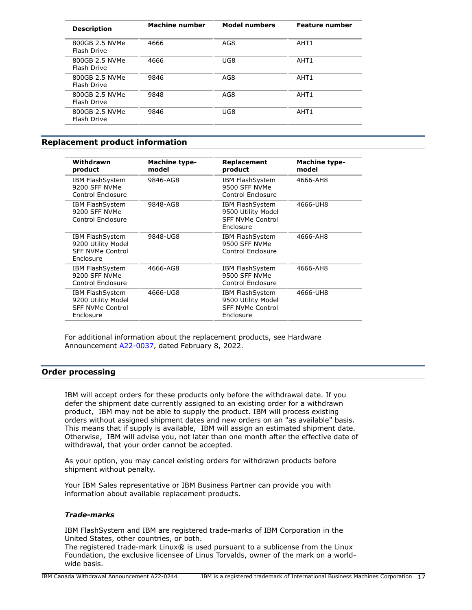| <b>Description</b>            | <b>Machine number</b> | <b>Model numbers</b> | <b>Feature number</b> |
|-------------------------------|-----------------------|----------------------|-----------------------|
| 800GB 2.5 NVMe<br>Flash Drive | 4666                  | AG8                  | AHT <sub>1</sub>      |
| 800GB 2.5 NVMe<br>Flash Drive | 4666                  | UG8                  | AHT <sub>1</sub>      |
| 800GB 2.5 NVMe<br>Flash Drive | 9846                  | AG8                  | AHT <sub>1</sub>      |
| 800GB 2.5 NVMe<br>Flash Drive | 9848                  | AG8                  | AHT <sub>1</sub>      |
| 800GB 2.5 NVMe<br>Flash Drive | 9846                  | UG8                  | AHT <sub>1</sub>      |

# <span id="page-16-0"></span>**Replacement product information**

| Withdrawn<br>product                                                                 | <b>Machine type-</b><br>model | Replacement<br>product                                                               | <b>Machine type-</b><br>model |
|--------------------------------------------------------------------------------------|-------------------------------|--------------------------------------------------------------------------------------|-------------------------------|
| <b>IBM FlashSystem</b><br>9200 SFF NVMe<br>Control Enclosure                         | 9846-AG8                      | <b>IBM FlashSystem</b><br>9500 SFF NVMe<br>Control Enclosure                         | 4666-AH8                      |
| IBM FlashSystem<br>9200 SFF NVMe<br>Control Enclosure                                | 9848-AG8                      | IBM FlashSystem<br>9500 Utility Model<br><b>SFF NVMe Control</b><br>Enclosure        | 4666-UH8                      |
| <b>IBM FlashSystem</b><br>9200 Utility Model<br><b>SFF NVMe Control</b><br>Enclosure | 9848-UG8                      | <b>IBM FlashSystem</b><br>9500 SFF NVMe<br>Control Enclosure                         | 4666-AH8                      |
| <b>IBM FlashSystem</b><br>9200 SFF NVMe<br>Control Enclosure                         | 4666-AG8                      | <b>IBM FlashSystem</b><br>9500 SFF NVMe<br>Control Enclosure                         | 4666-AH8                      |
| <b>IBM FlashSystem</b><br>9200 Utility Model<br><b>SFF NVMe Control</b><br>Enclosure | 4666-UG8                      | <b>IBM FlashSystem</b><br>9500 Utility Model<br><b>SFF NVMe Control</b><br>Enclosure | 4666-UH8                      |
|                                                                                      |                               |                                                                                      |                               |

For additional information about the replacement products, see Hardware Announcement [A22-0037](http://www.ibm.com/common/ssi/cgi-bin/ssialias?infotype=an&subtype=ca&appname=gpateam&supplier=649&letternum=ENUSA22-0037), dated February 8, 2022.

# **Order processing**

IBM will accept orders for these products only before the withdrawal date. If you defer the shipment date currently assigned to an existing order for a withdrawn product, IBM may not be able to supply the product. IBM will process existing orders without assigned shipment dates and new orders on an "as available" basis. This means that if supply is available, IBM will assign an estimated shipment date. Otherwise, IBM will advise you, not later than one month after the effective date of withdrawal, that your order cannot be accepted.

As your option, you may cancel existing orders for withdrawn products before shipment without penalty.

Your IBM Sales representative or IBM Business Partner can provide you with information about available replacement products.

#### *Trade-marks*

IBM FlashSystem and IBM are registered trade-marks of IBM Corporation in the United States, other countries, or both.

The registered trade-mark Linux® is used pursuant to a sublicense from the Linux Foundation, the exclusive licensee of Linus Torvalds, owner of the mark on a worldwide basis.